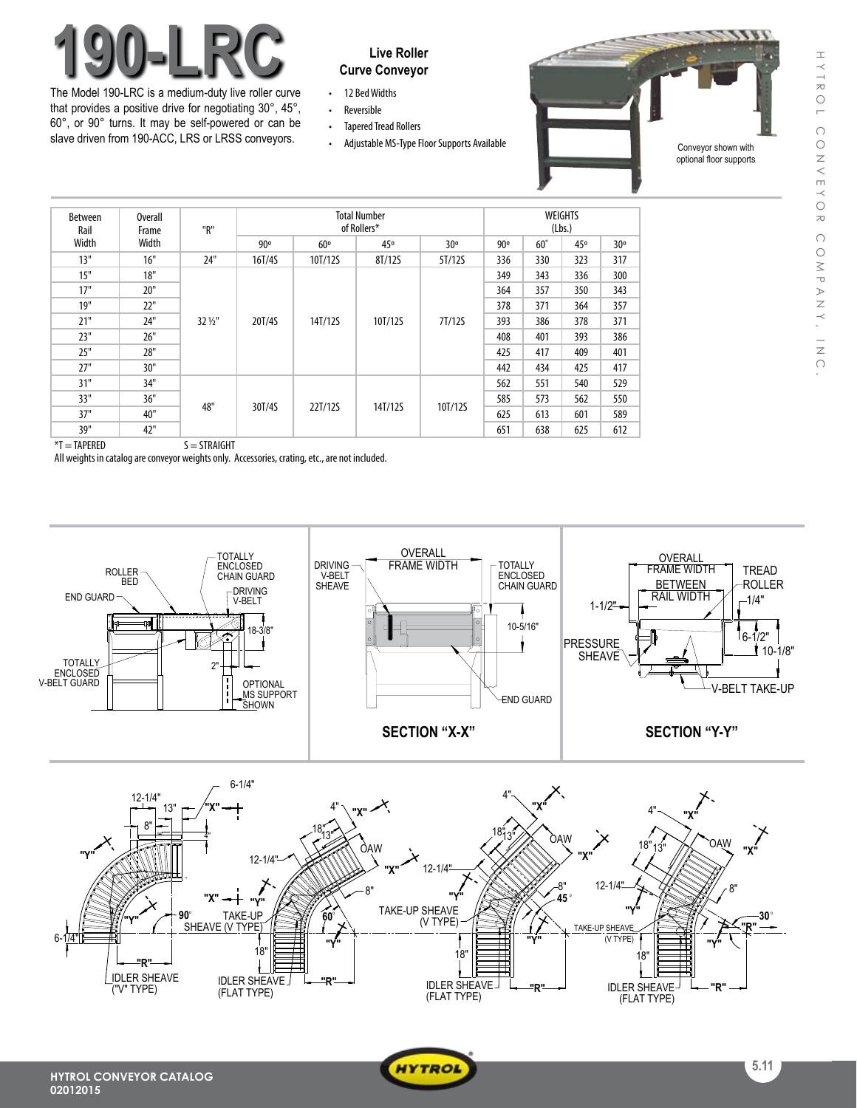## HYTROL HYTROL CONVEYOR COMPANY, INC. CONVEYO  $\approx$  $\bigcap$  $\bigcirc$ MPANY, INC

# **190-LRC** Live Roller

The Model 190-LRC is a medium-duty live roller curve that provides a positive drive for negotiating 30°, 45°, 60°, or 90° turns. It may be self-powered or can be slave driven from 190-ACC, LRS or LRSS conveyors.

### **Curve Conveyor**

- 12 Bed Widths
- • Reversible
- Tapered Tread Rollers
- 



| <b>Between</b><br>Rail<br>Width | Overall<br>Frame<br>Width | "R"     | <b>Total Number</b><br>of Rollers* |         |         |         | WEIGHTS<br>(Lbs.) |            |     |     |
|---------------------------------|---------------------------|---------|------------------------------------|---------|---------|---------|-------------------|------------|-----|-----|
|                                 |                           |         | 90°                                | 60°     | 45°     | 30°     | 90°               | $60^\circ$ | 45° | 30° |
| 13"                             | 16"                       | 24"     | 16T/4S                             | 10T/12S | 8T/12S  | 5T/12S  | 336               | 330        | 323 | 317 |
| 15"                             | 18"                       | 32 1/2" | 20T/4S                             | 14T/12S | 10T/12S | 7T/12S  | 349               | 343        | 336 | 300 |
| 17"                             | 20"                       |         |                                    |         |         |         | 364               | 357        | 350 | 343 |
| 19"                             | 22"                       |         |                                    |         |         |         | 378               | 371        | 364 | 357 |
| 21"                             | 24"                       |         |                                    |         |         |         | 393               | 386        | 378 | 371 |
| 23"                             | 26"                       |         |                                    |         |         |         | 408               | 401        | 393 | 386 |
| 25"                             | 28"                       |         |                                    |         |         |         | 425               | 417        | 409 | 401 |
| 27"                             | 30"                       |         |                                    |         |         |         | 442               | 434        | 425 | 417 |
| 31"                             | 34"                       | 48"     | 30T/4S                             | 22T/12S | 14T/12S | 10T/12S | 562               | 551        | 540 | 529 |
| 33"                             | 36"                       |         |                                    |         |         |         | 585               | 573        | 562 | 550 |
| 37"                             | 40"                       |         |                                    |         |         |         | 625               | 613        | 601 | 589 |
| 39"                             | 42"                       |         |                                    |         |         |         | 651               | 638        | 625 | 612 |

 $*T = TAPERED$   $S = STRAIGHT$ 

All weights in catalog are conveyor weights only. Accessories, crating, etc., are not included.